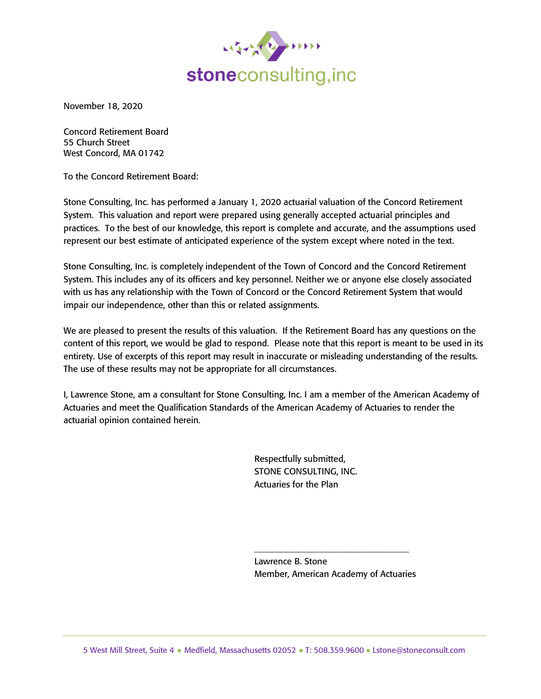

November 18, 2020

Concord Retirement Board 55 Church Street West Concord, MA 01742

To the Concord Retirement Board:

Stone Consulting, Inc. has performed a January 1, 2020 actuarial valuation of the Concord Retirement System. This valuation and report were prepared using generally accepted actuarial principles and practices. To the best of our knowledge, this report is complete and accurate, and the assumptions used represent our best estimate of anticipated experience of the system except where noted in the text.

Stone Consulting, Inc. is completely independent of the Town of Concord and the Concord Retirement System. This includes any of its officers and key personnel. Neither we or anyone else closely associated with us has any relationship with the Town of Concord or the Concord Retirement System that would impair our independence, other than this or related assignments.

We are pleased to present the results of this valuation. If the Retirement Board has any questions on the content of this report, we would be glad to respond. Please note that this report is meant to be used in its entirety. Use of excerpts of this report may result in inaccurate or misleading understanding of the results. The use of these results may not be appropriate for all circumstances.

I, Lawrence Stone, am a consultant for Stone Consulting, Inc. I am a member of the American Academy of Actuaries and meet the Qualification Standards of the American Academy of Actuaries to render the actuarial opinion contained herein.

> Respectfully submitted, STONE CONSULTING, INC. Actuaries for the Plan

Lawrence B. Stone Member, American Academy of Actuaries

\_\_\_\_\_\_\_\_\_\_\_\_\_\_\_\_\_\_\_\_\_\_\_\_\_\_\_\_\_\_\_\_\_\_\_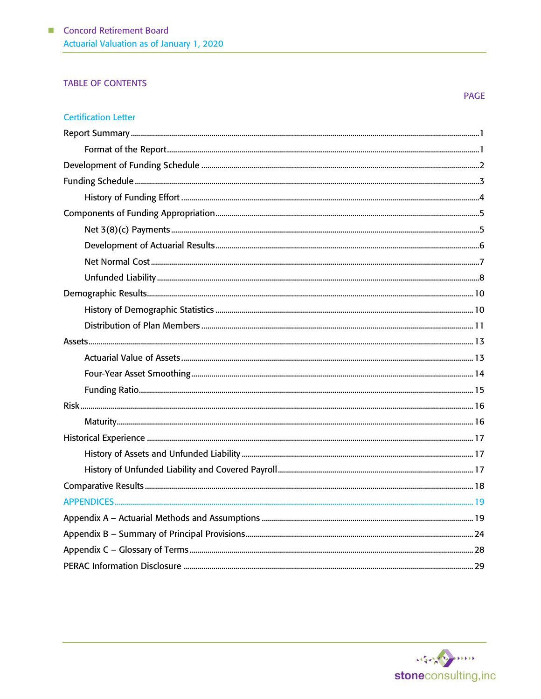## **TABLE OF CONTENTS**

#### **PAGE**

## **Certification Letter**

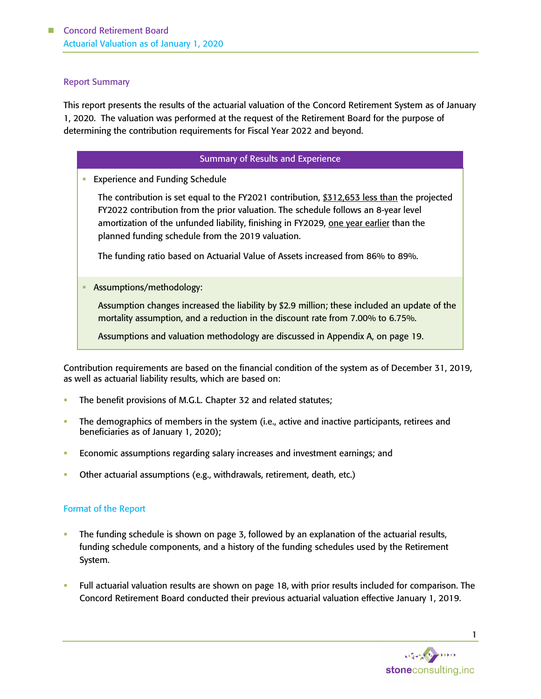#### Report Summary

This report presents the results of the actuarial valuation of the Concord Retirement System as of January 1, 2020. The valuation was performed at the request of the Retirement Board for the purpose of determining the contribution requirements for Fiscal Year 2022 and beyond.

#### Summary of Results and Experience

**Experience and Funding Schedule** 

The contribution is set equal to the FY2021 contribution, \$312,653 less than the projected FY2022 contribution from the prior valuation. The schedule follows an 8-year level amortization of the unfunded liability, finishing in FY2029, one year earlier than the planned funding schedule from the 2019 valuation.

The funding ratio based on Actuarial Value of Assets increased from 86% to 89%.

**■** Assumptions/methodology:

Assumption changes increased the liability by \$2.9 million; these included an update of the mortality assumption, and a reduction in the discount rate from 7.00% to 6.75%.

Assumptions and valuation methodology are discussed in Appendix A, on page 19.

Contribution requirements are based on the financial condition of the system as of December 31, 2019, as well as actuarial liability results, which are based on:

- The benefit provisions of M.G.L. Chapter 32 and related statutes;
- The demographics of members in the system (i.e., active and inactive participants, retirees and beneficiaries as of January 1, 2020);
- **Economic assumptions regarding salary increases and investment earnings; and**
- Other actuarial assumptions (e.g., withdrawals, retirement, death, etc.)

#### Format of the Report

- The funding schedule is shown on page 3, followed by an explanation of the actuarial results, funding schedule components, and a history of the funding schedules used by the Retirement System.
- Full actuarial valuation results are shown on page 18, with prior results included for comparison. The Concord Retirement Board conducted their previous actuarial valuation effective January 1, 2019.

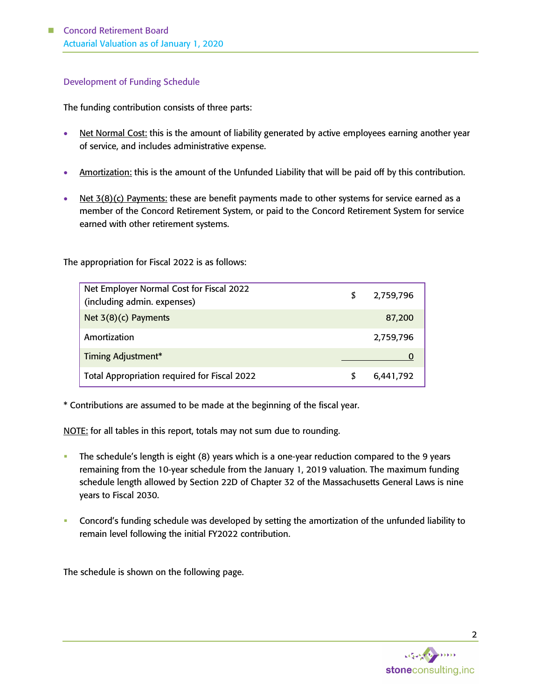#### Development of Funding Schedule

The funding contribution consists of three parts:

- Net Normal Cost: this is the amount of liability generated by active employees earning another year of service, and includes administrative expense.
- Amortization: this is the amount of the Unfunded Liability that will be paid off by this contribution.
- Net 3(8)(c) Payments: these are benefit payments made to other systems for service earned as a member of the Concord Retirement System, or paid to the Concord Retirement System for service earned with other retirement systems.

The appropriation for Fiscal 2022 is as follows:

| Net Employer Normal Cost for Fiscal 2022<br>(including admin. expenses) | \$ | 2,759,796 |
|-------------------------------------------------------------------------|----|-----------|
| Net 3(8)(c) Payments                                                    |    | 87,200    |
| Amortization                                                            |    | 2,759,796 |
| Timing Adjustment*                                                      |    |           |
| Total Appropriation required for Fiscal 2022                            | S  | 6,441,792 |

\* Contributions are assumed to be made at the beginning of the fiscal year.

NOTE: for all tables in this report, totals may not sum due to rounding.

- The schedule's length is eight (8) years which is a one-year reduction compared to the 9 years remaining from the 10-year schedule from the January 1, 2019 valuation. The maximum funding schedule length allowed by Section 22D of Chapter 32 of the Massachusetts General Laws is nine years to Fiscal 2030.
- Concord's funding schedule was developed by setting the amortization of the unfunded liability to remain level following the initial FY2022 contribution.

The schedule is shown on the following page.

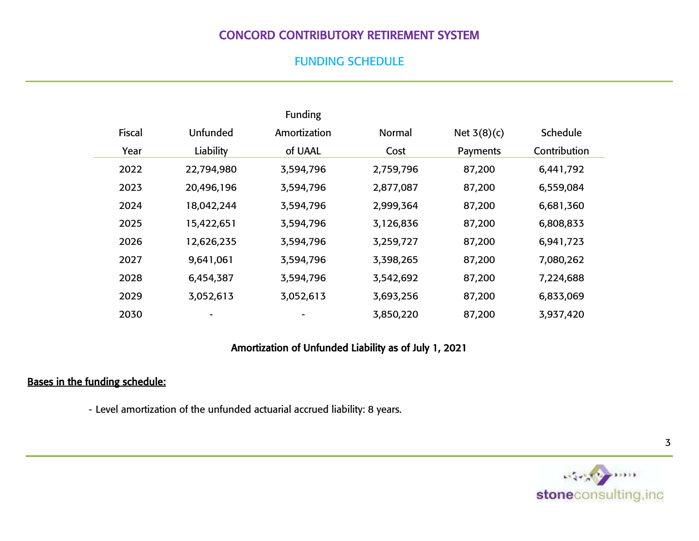# CONCORD CONTRIBUTORY RETIREMENT SYSTEM

## FUNDING SCHEDULE

|               |            | Funding      |           |               |              |  |
|---------------|------------|--------------|-----------|---------------|--------------|--|
| <b>Fiscal</b> | Unfunded   | Amortization | Normal    | Net $3(8)(c)$ | Schedule     |  |
| Year          | Liability  | of UAAL      | Cost      | Payments      | Contribution |  |
| 2022          | 22,794,980 | 3,594,796    | 2,759,796 | 87,200        | 6,441,792    |  |
| 2023          | 20,496,196 | 3,594,796    | 2,877,087 | 87,200        | 6,559,084    |  |
| 2024          | 18,042,244 | 3,594,796    | 2,999,364 | 87,200        | 6,681,360    |  |
| 2025          | 15,422,651 | 3,594,796    | 3,126,836 | 87,200        | 6,808,833    |  |
| 2026          | 12,626,235 | 3,594,796    | 3,259,727 | 87,200        | 6,941,723    |  |
| 2027          | 9,641,061  | 3,594,796    | 3,398,265 | 87,200        | 7,080,262    |  |
| 2028          | 6,454,387  | 3,594,796    | 3,542,692 | 87,200        | 7,224,688    |  |
| 2029          | 3,052,613  | 3,052,613    | 3,693,256 | 87,200        | 6,833,069    |  |
| 2030          |            |              | 3,850,220 | 87,200        | 3,937,420    |  |

## Amortization of Unfunded Liability as of July 1, 2021

# Bases in the funding schedule:

- Level amortization of the unfunded actuarial accrued liability: 8 years.

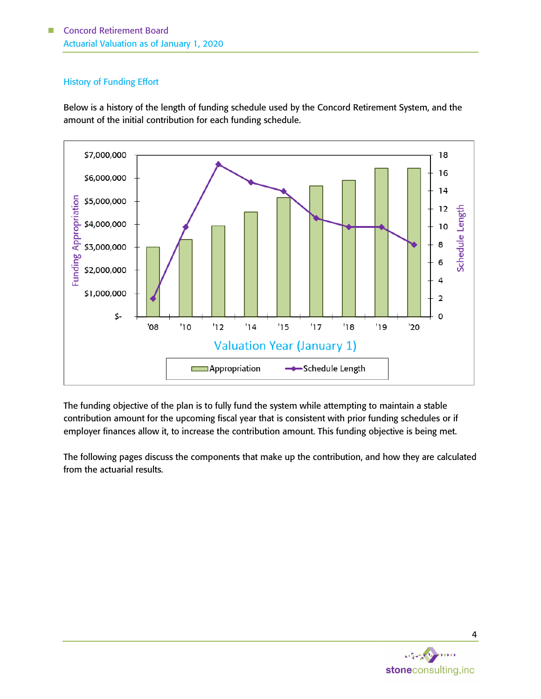## History of Funding Effort

Below is a history of the length of funding schedule used by the Concord Retirement System, and the amount of the initial contribution for each funding schedule.



The funding objective of the plan is to fully fund the system while attempting to maintain a stable contribution amount for the upcoming fiscal year that is consistent with prior funding schedules or if employer finances allow it, to increase the contribution amount. This funding objective is being met.

The following pages discuss the components that make up the contribution, and how they are calculated from the actuarial results.

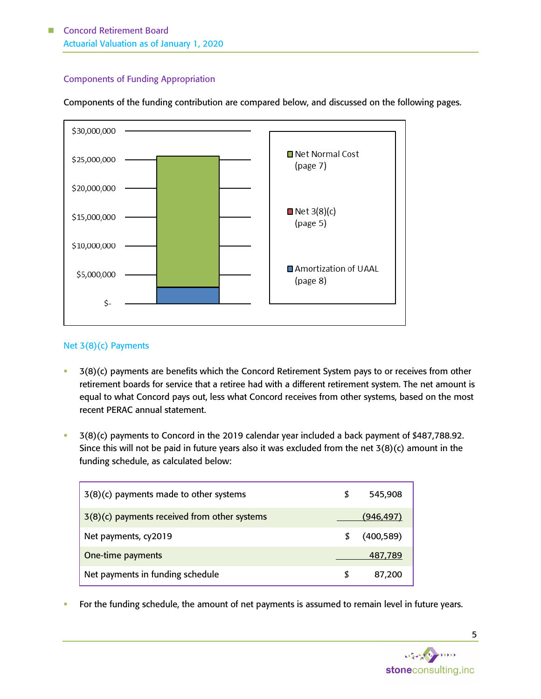## Components of Funding Appropriation

Components of the funding contribution are compared below, and discussed on the following pages.



#### Net 3(8)(c) Payments

- 3(8)(c) payments are benefits which the Concord Retirement System pays to or receives from other retirement boards for service that a retiree had with a different retirement system. The net amount is equal to what Concord pays out, less what Concord receives from other systems, based on the most recent PERAC annual statement.
- 3(8)(c) payments to Concord in the 2019 calendar year included a back payment of \$487,788.92. Since this will not be paid in future years also it was excluded from the net 3(8)(c) amount in the funding schedule, as calculated below:

| 3(8)(c) payments made to other systems         |   | 545,908    |
|------------------------------------------------|---|------------|
| $3(8)(c)$ payments received from other systems |   | (946.497   |
| Net payments, cy2019                           | S | (400, 589) |
| One-time payments                              |   | 487.789    |
| Net payments in funding schedule               |   | 87,200     |

**•** For the funding schedule, the amount of net payments is assumed to remain level in future years.

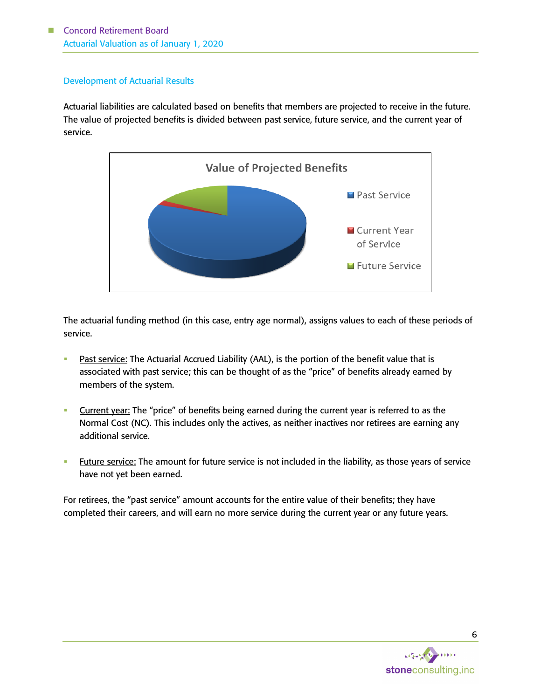## Development of Actuarial Results

Actuarial liabilities are calculated based on benefits that members are projected to receive in the future. The value of projected benefits is divided between past service, future service, and the current year of service.



The actuarial funding method (in this case, entry age normal), assigns values to each of these periods of service.

- Past service: The Actuarial Accrued Liability (AAL), is the portion of the benefit value that is associated with past service; this can be thought of as the "price" of benefits already earned by members of the system.
- **EXECUTE:** Current year: The "price" of benefits being earned during the current year is referred to as the Normal Cost (NC). This includes only the actives, as neither inactives nor retirees are earning any additional service.
- **Future service:** The amount for future service is not included in the liability, as those years of service have not yet been earned.

For retirees, the "past service" amount accounts for the entire value of their benefits; they have completed their careers, and will earn no more service during the current year or any future years.



6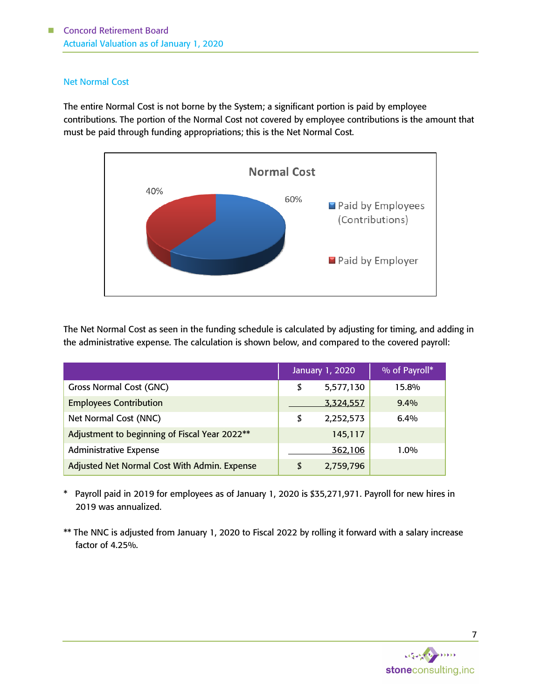#### Net Normal Cost

The entire Normal Cost is not borne by the System; a significant portion is paid by employee contributions. The portion of the Normal Cost not covered by employee contributions is the amount that must be paid through funding appropriations; this is the Net Normal Cost.



The Net Normal Cost as seen in the funding schedule is calculated by adjusting for timing, and adding in the administrative expense. The calculation is shown below, and compared to the covered payroll:

|                                               | January 1, 2020 | % of Payroll* |
|-----------------------------------------------|-----------------|---------------|
| <b>Gross Normal Cost (GNC)</b>                | \$<br>5,577,130 | 15.8%         |
| <b>Employees Contribution</b>                 | 3,324,557       | $9.4\%$       |
| Net Normal Cost (NNC)                         | \$<br>2,252,573 | $6.4\%$       |
| Adjustment to beginning of Fiscal Year 2022** | 145,117         |               |
| <b>Administrative Expense</b>                 | 362,106         | $1.0\%$       |
| Adjusted Net Normal Cost With Admin. Expense  | \$<br>2,759,796 |               |

\* Payroll paid in 2019 for employees as of January 1, 2020 is \$35,271,971. Payroll for new hires in 2019 was annualized.

\*\* The NNC is adjusted from January 1, 2020 to Fiscal 2022 by rolling it forward with a salary increase factor of 4.25%.

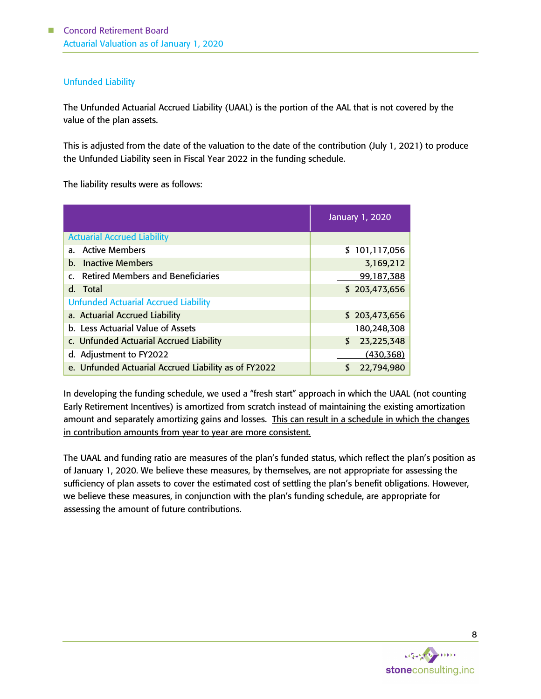## Unfunded Liability

The Unfunded Actuarial Accrued Liability (UAAL) is the portion of the AAL that is not covered by the value of the plan assets.

This is adjusted from the date of the valuation to the date of the contribution (July 1, 2021) to produce the Unfunded Liability seen in Fiscal Year 2022 in the funding schedule.

The liability results were as follows:

|                                                             | January 1, 2020 |  |  |  |  |  |  |
|-------------------------------------------------------------|-----------------|--|--|--|--|--|--|
| <b>Actuarial Accrued Liability</b>                          |                 |  |  |  |  |  |  |
| a. Active Members                                           | \$101,117,056   |  |  |  |  |  |  |
| <b>Inactive Members</b><br>b.                               | 3,169,212       |  |  |  |  |  |  |
| <b>Retired Members and Beneficiaries</b><br>$\mathsf{C}$    | 99,187,388      |  |  |  |  |  |  |
| d. Total                                                    | \$203,473,656   |  |  |  |  |  |  |
| <b>Unfunded Actuarial Accrued Liability</b>                 |                 |  |  |  |  |  |  |
| a. Actuarial Accrued Liability                              | \$203,473,656   |  |  |  |  |  |  |
| b. Less Actuarial Value of Assets<br>180,248,308            |                 |  |  |  |  |  |  |
| c. Unfunded Actuarial Accrued Liability<br>23,225,348<br>\$ |                 |  |  |  |  |  |  |
| d. Adjustment to FY2022<br>(430, 368)                       |                 |  |  |  |  |  |  |
| e. Unfunded Actuarial Accrued Liability as of FY2022        | 22,794,980      |  |  |  |  |  |  |

In developing the funding schedule, we used a "fresh start" approach in which the UAAL (not counting Early Retirement Incentives) is amortized from scratch instead of maintaining the existing amortization amount and separately amortizing gains and losses. This can result in a schedule in which the changes in contribution amounts from year to year are more consistent.

The UAAL and funding ratio are measures of the plan's funded status, which reflect the plan's position as of January 1, 2020. We believe these measures, by themselves, are not appropriate for assessing the sufficiency of plan assets to cover the estimated cost of settling the plan's benefit obligations. However, we believe these measures, in conjunction with the plan's funding schedule, are appropriate for assessing the amount of future contributions.

stoneconsulting, inc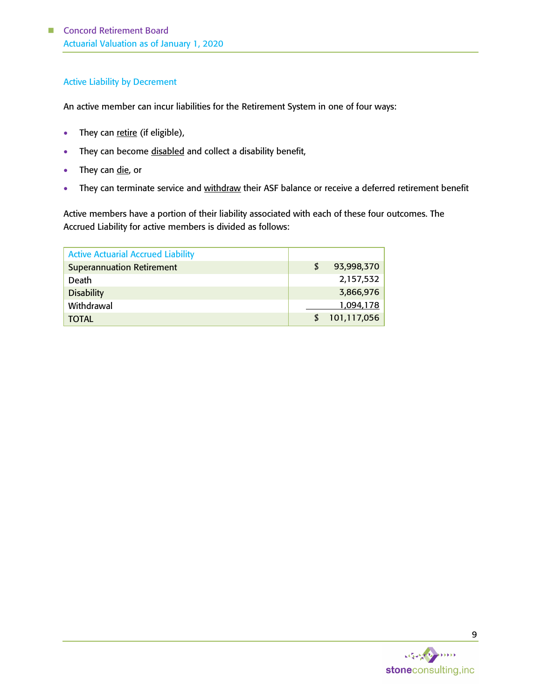### Active Liability by Decrement

An active member can incur liabilities for the Retirement System in one of four ways:

- They can retire (if eligible),
- They can become disabled and collect a disability benefit,
- They can die, or
- They can terminate service and withdraw their ASF balance or receive a deferred retirement benefit

Active members have a portion of their liability associated with each of these four outcomes. The Accrued Liability for active members is divided as follows:

| <b>Active Actuarial Accrued Liability</b> |                  |
|-------------------------------------------|------------------|
| <b>Superannuation Retirement</b>          | \$<br>93,998,370 |
| Death                                     | 2,157,532        |
| <b>Disability</b>                         | 3,866,976        |
| Withdrawal                                | 1,094,178        |
| <b>TOTAL</b>                              | 101,117,056      |

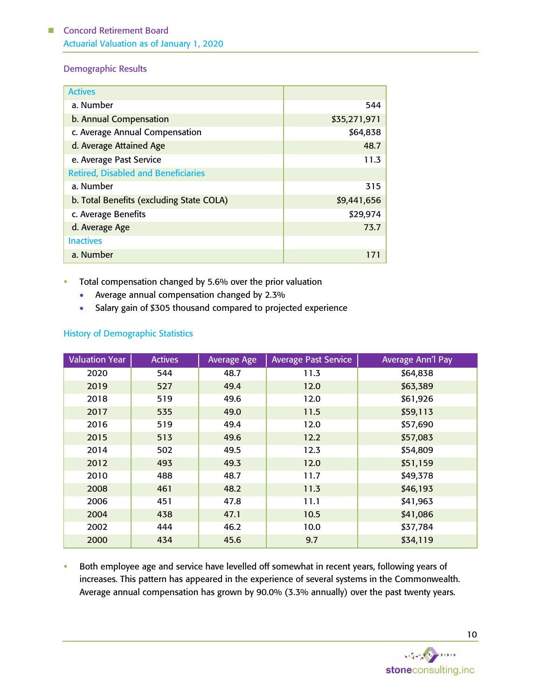## Demographic Results

| <b>Actives</b>                             |              |
|--------------------------------------------|--------------|
| a. Number                                  | 544          |
| b. Annual Compensation                     | \$35,271,971 |
| c. Average Annual Compensation             | \$64,838     |
| d. Average Attained Age                    | 48.7         |
| e. Average Past Service                    | 11.3         |
| <b>Retired, Disabled and Beneficiaries</b> |              |
| a. Number                                  | 315          |
| b. Total Benefits (excluding State COLA)   | \$9,441,656  |
| c. Average Benefits                        | \$29,974     |
| d. Average Age                             | 73.7         |
| <b>Inactives</b>                           |              |
| a. Number                                  |              |

## **•** Total compensation changed by 5.6% over the prior valuation

- Average annual compensation changed by 2.3%
- Salary gain of \$305 thousand compared to projected experience

## History of Demographic Statistics

| <b>Valuation Year</b> | <b>Actives</b> | <b>Average Age</b> | <b>Average Past Service</b> | <b>Average Ann'l Pay</b> |
|-----------------------|----------------|--------------------|-----------------------------|--------------------------|
| 2020                  | 544            | 48.7               | 11.3                        | \$64,838                 |
| 2019                  | 527            | 49.4               | 12.0                        | \$63,389                 |
| 2018                  | 519            | 49.6               | 12.0                        | \$61,926                 |
| 2017                  | 535            | 49.0               | 11.5                        | \$59,113                 |
| 2016                  | 519            | 49.4               | 12.0                        | \$57,690                 |
| 2015                  | 513            | 49.6               | 12.2                        | \$57,083                 |
| 2014                  | 502            | 49.5               | 12.3                        | \$54,809                 |
| 2012                  | 493            | 49.3               | 12.0                        | \$51,159                 |
| 2010                  | 488            | 48.7               | 11.7                        | \$49,378                 |
| 2008                  | 461            | 48.2               | 11.3                        | \$46,193                 |
| 2006                  | 451            | 47.8               | 11.1                        | \$41,963                 |
| 2004                  | 438            | 47.1               | 10.5                        | \$41,086                 |
| 2002                  | 444            | 46.2               | 10.0                        | \$37,784                 |
| 2000                  | 434            | 45.6               | 9.7                         | \$34,119                 |

**EXECT** Both employee age and service have levelled off somewhat in recent years, following years of increases. This pattern has appeared in the experience of several systems in the Commonwealth. Average annual compensation has grown by 90.0% (3.3% annually) over the past twenty years.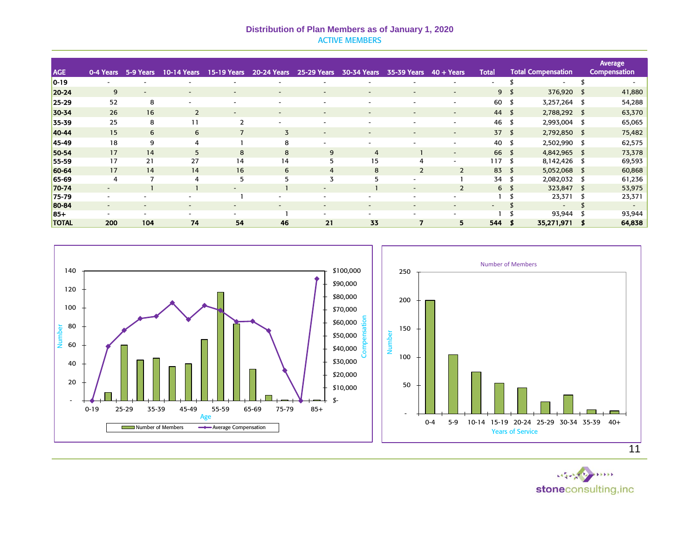#### **Distribution of Plan Members as of January 1, 2020** ACTIVE MEMBERS

|                |           |                          |                          |                          |                          |                          |                          |                          |                          |                          |                |                           | Average             |
|----------------|-----------|--------------------------|--------------------------|--------------------------|--------------------------|--------------------------|--------------------------|--------------------------|--------------------------|--------------------------|----------------|---------------------------|---------------------|
| <b>AGE</b>     | 0-4 Years | 5-9 Years                | <b>10-14 Years</b>       | <b>15-19 Years</b>       | <b>20-24 Years</b>       | <b>25-29 Years</b>       | 30-34 Years              | 35-39 Years              | $40 + Years$             | <b>Total</b>             |                | <b>Total Compensation</b> | <b>Compensation</b> |
| $ 0-19\rangle$ |           |                          |                          |                          |                          |                          |                          |                          |                          | $\overline{\phantom{a}}$ |                | $\sim$                    |                     |
| $20 - 24$      | 9         | $\overline{\phantom{0}}$ | н.                       | $\overline{\phantom{a}}$ |                          | $\overline{\phantom{0}}$ |                          | $\overline{\phantom{0}}$ | $\overline{\phantom{a}}$ |                          | 9 <sup>5</sup> | 376,920 \$                | 41,880              |
| $25 - 29$      | 52        | 8                        | ۰                        | ۰.                       | $\overline{\phantom{a}}$ | $\overline{\phantom{0}}$ | -                        | $\overline{\phantom{a}}$ | $\overline{\phantom{a}}$ | 60                       |                | 3,257,264 \$              | 54,288              |
| 30-34          | 26        | 16                       | $\overline{2}$           |                          | $\overline{\phantom{a}}$ | $\overline{\phantom{a}}$ |                          | $\overline{\phantom{a}}$ | $\overline{\phantom{a}}$ | $44 \quad$               |                | 2,788,292 \$              | 63,370              |
| 35-39          | 25        | 8                        | 11                       |                          |                          |                          |                          |                          |                          | 46                       |                | 2,993,004 \$              | 65,065              |
| 40-44          | 15        | 6                        | 6                        |                          | $\overline{3}$           | $\overline{\phantom{0}}$ |                          |                          | $\overline{\phantom{a}}$ | 37 <sub>5</sub>          |                | 2,792,850 \$              | 75,482              |
| 45-49          | 18        | 9                        | 4                        |                          | 8                        | $\sim$                   |                          |                          | $\overline{\phantom{a}}$ | 40 \$                    |                | 2,502,990 \$              | 62,575              |
| 50-54          | 17        | 14                       | 5                        | 8                        | 8                        | 9                        | 4                        |                          | $\overline{\phantom{0}}$ | 66 \$                    |                | 4,842,965 \$              | 73,378              |
| 55-59          | 17        | 21                       | 27                       | 14                       | 14                       | 5                        | 15                       | 4                        | $\overline{\phantom{a}}$ | 117                      | S              | 8,142,426 \$              | 69,593              |
| 60-64          | 17        | 14                       | 14                       | 16                       | 6                        | $\overline{4}$           | 8                        | $\overline{2}$           | $\overline{2}$           | $83 \quad$               |                | 5,052,068 \$              | 60,868              |
| 65-69          | 4         | $\overline{7}$           | 4                        | 5                        | 5                        | 3                        |                          |                          |                          | 34 \$                    |                | 2,082,032 \$              | 61,236              |
| 70-74          | ٠         |                          |                          |                          |                          | $\overline{\phantom{a}}$ |                          |                          | $\overline{2}$           |                          | 6 <sup>5</sup> | 323,847 \$                | 53,975              |
| 75-79          |           |                          | $\overline{\phantom{a}}$ |                          |                          |                          |                          |                          |                          |                          |                | 23,371                    | 23,371              |
| 80-84          | $\sim$    |                          | ٠                        | ۰                        | $\overline{\phantom{a}}$ | $\sim$                   | $\overline{\phantom{a}}$ | $\overline{\phantom{0}}$ | $\overline{\phantom{a}}$ | -                        |                | $\sim$                    | $\sim$              |
| $85+$          | $\sim$    | $\overline{\phantom{a}}$ | ۰.                       |                          |                          | $\sim$                   | -                        |                          |                          |                          |                | 93,944                    | 93,944              |
| <b>TOTAL</b>   | 200       | 104                      | 74                       | 54                       | 46                       | 21                       | 33                       | 7                        | 5                        | 544                      |                | 35,271,971                | 64,838              |



Were the min stoneconsulting, inc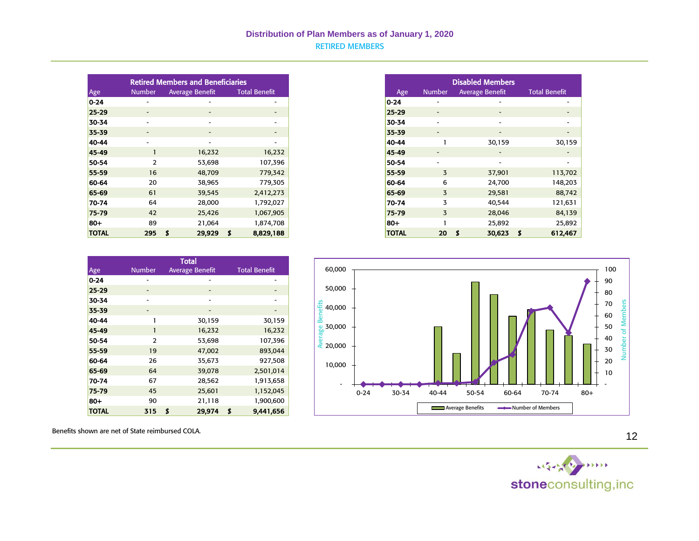|              |                          | <b>Retired Members and Beneficiaries</b> |                          |
|--------------|--------------------------|------------------------------------------|--------------------------|
| Age          | <b>Number</b>            | <b>Average Benefit</b>                   | <b>Total Benefit</b>     |
| $ 0-24 $     |                          |                                          | $\overline{\phantom{a}}$ |
| $25 - 29$    | $\sim$                   | $\sim$                                   | $\sim$                   |
| 30-34        | $\sim$                   |                                          | $\sim$                   |
| 35-39        | $\sim$                   | ۰.                                       |                          |
| 40-44        | $\overline{\phantom{a}}$ | $\overline{\phantom{a}}$                 | $\sim$                   |
| 45-49        |                          | 16,232                                   | 16,232                   |
| 50-54        | $\overline{2}$           | 53,698                                   | 107,396                  |
| 55-59        | 16                       | 48,709                                   | 779,342                  |
| 60-64        | 20                       | 38,965                                   | 779,305                  |
| 65-69        | 61                       | 39,545                                   | 2,412,273                |
| 70-74        | 64                       | 28,000                                   | 1,792,027                |
| 75-79        | 42                       | 25,426                                   | 1,067,905                |
| 80+          | 89                       | 21,064                                   | 1,874,708                |
| <b>TOTAL</b> | 295                      | 5<br>29,929                              | 8,829,188<br>- \$        |

| <b>Disabled Members</b> |               |                        |                      |  |  |  |  |  |  |
|-------------------------|---------------|------------------------|----------------------|--|--|--|--|--|--|
| Age                     | <b>Number</b> | <b>Average Benefit</b> | <b>Total Benefit</b> |  |  |  |  |  |  |
| $0 - 24$                |               |                        |                      |  |  |  |  |  |  |
| $25 - 29$               |               |                        |                      |  |  |  |  |  |  |
| 30-34                   |               |                        |                      |  |  |  |  |  |  |
| 35-39                   |               |                        |                      |  |  |  |  |  |  |
| 40-44                   | 1             | 30,159                 | 30,159               |  |  |  |  |  |  |
| 45-49                   |               |                        |                      |  |  |  |  |  |  |
| 50-54                   |               |                        |                      |  |  |  |  |  |  |
| 55-59                   | 3             | 37,901                 | 113,702              |  |  |  |  |  |  |
| 60-64                   | 6             | 24,700                 | 148,203              |  |  |  |  |  |  |
| 65-69                   | 3             | 29,581                 | 88,742               |  |  |  |  |  |  |
| 70-74                   | 3             | 40,544                 | 121,631              |  |  |  |  |  |  |
| 75-79                   | 3             | 28,046                 | 84,139               |  |  |  |  |  |  |
| -80                     |               | 25,892                 | 25,892               |  |  |  |  |  |  |
| <b>TOTAL</b>            | 20            | S<br>30,623            | Ś<br>612,467         |  |  |  |  |  |  |

|              |                | Total                  |                      |
|--------------|----------------|------------------------|----------------------|
| Age          | <b>Number</b>  | <b>Average Benefit</b> | <b>Total Benefit</b> |
| $0 - 24$     |                |                        |                      |
| $25 - 29$    |                |                        |                      |
| 30-34        |                |                        |                      |
| 35-39        | -              |                        |                      |
| 40-44        | 1              | 30,159                 | 30,159               |
| 45-49        | 1              | 16,232                 | 16,232               |
| 50-54        | $\overline{2}$ | 53,698                 | 107,396              |
| 55-59        | 19             | 47,002                 | 893,044              |
| 60-64        | 26             | 35,673                 | 927,508              |
| 65-69        | 64             | 39,078                 | 2,501,014            |
| 70-74        | 67             | 28,562                 | 1,913,658            |
| 75-79        | 45             | 25,601                 | 1,152,045            |
| 80+          | 90             | 21,118                 | 1,900,600            |
| <b>TOTAL</b> | 315            | S<br>29,974            | \$<br>9,441,656      |

 60,000 100 90 50,000 80 <del>ti</del><br>e 40,000<br>e a 70 Number of Members Number of Members Average Benefits 60  $\frac{1}{80}$ 30,000 50 40  $20,000$  30 20 10,000 10 - - 0-24 30-34 40-44 50-54 60-64 70-74 80+ Average Benefits **Number of Members** 

Benefits shown are net of State reimbursed COLA.



12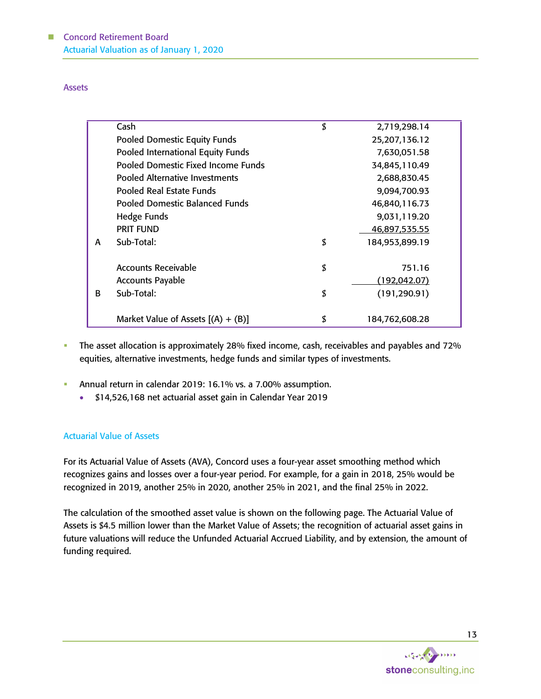Assets

|   | Cash                                  | \$<br>2,719,298.14   |  |
|---|---------------------------------------|----------------------|--|
|   | <b>Pooled Domestic Equity Funds</b>   | 25,207,136.12        |  |
|   | Pooled International Equity Funds     | 7,630,051.58         |  |
|   | Pooled Domestic Fixed Income Funds    | 34,845,110.49        |  |
|   | <b>Pooled Alternative Investments</b> | 2,688,830.45         |  |
|   | Pooled Real Estate Funds              | 9,094,700.93         |  |
|   | <b>Pooled Domestic Balanced Funds</b> | 46,840,116.73        |  |
|   | Hedge Funds                           | 9,031,119.20         |  |
|   | <b>PRIT FUND</b>                      | 46,897,535.55        |  |
| A | Sub-Total:                            | \$<br>184,953,899.19 |  |
|   |                                       |                      |  |
|   | Accounts Receivable                   | \$<br>751.16         |  |
|   | <b>Accounts Payable</b>               | (192, 042.07)        |  |
| B | Sub-Total:                            | \$<br>(191, 290.91)  |  |
|   |                                       |                      |  |
|   | Market Value of Assets $[(A) + (B)]$  | \$<br>184,762,608.28 |  |

- **•** The asset allocation is approximately 28% fixed income, cash, receivables and payables and 72% equities, alternative investments, hedge funds and similar types of investments.
- **EXECUTE:** Annual return in calendar 2019: 16.1% vs. a 7.00% assumption.
	- \$14,526,168 net actuarial asset gain in Calendar Year 2019

## Actuarial Value of Assets

For its Actuarial Value of Assets (AVA), Concord uses a four-year asset smoothing method which recognizes gains and losses over a four-year period. For example, for a gain in 2018, 25% would be recognized in 2019, another 25% in 2020, another 25% in 2021, and the final 25% in 2022.

The calculation of the smoothed asset value is shown on the following page. The Actuarial Value of Assets is \$4.5 million lower than the Market Value of Assets; the recognition of actuarial asset gains in future valuations will reduce the Unfunded Actuarial Accrued Liability, and by extension, the amount of funding required.

stoneconsulting, inc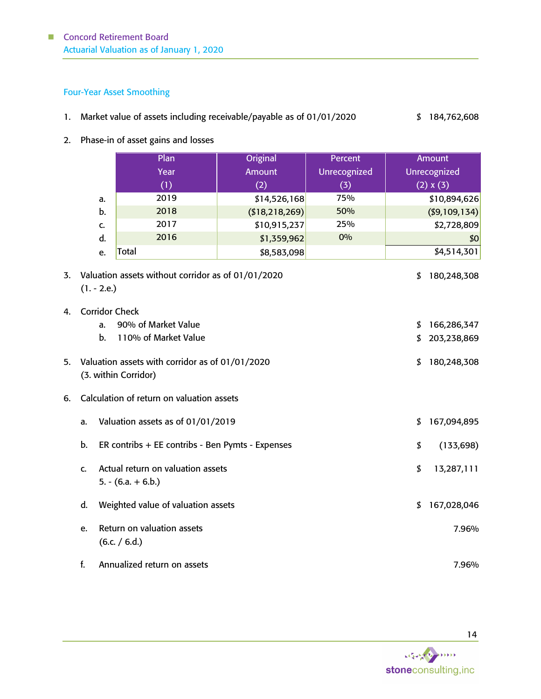## Four-Year Asset Smoothing

 $4.$ 

- 1. Market value of assets including receivable/payable as of 01/01/2020 \$ 184,762,608
- 2. Phase-in of asset gains and losses

|    |                                                                                     | Plan                                                                    | Original          | Percent      |    | <b>Amount</b>  |  |
|----|-------------------------------------------------------------------------------------|-------------------------------------------------------------------------|-------------------|--------------|----|----------------|--|
|    |                                                                                     | Year                                                                    | <b>Amount</b>     | Unrecognized |    | Unrecognized   |  |
|    |                                                                                     | (1)                                                                     | (2)               | (3)          |    | (2) x (3)      |  |
|    | a.                                                                                  | 2019                                                                    | \$14,526,168      | 75%          |    | \$10,894,626   |  |
|    | b.                                                                                  | 2018                                                                    | ( \$18, 218, 269) | 50%          |    | ( \$9,109,134) |  |
|    | C.                                                                                  | 2017                                                                    | \$10,915,237      | 25%          |    | \$2,728,809    |  |
|    | d.                                                                                  | 2016                                                                    | \$1,359,962       | 0%           |    | \$0            |  |
|    | e.                                                                                  | Total                                                                   | \$8,583,098       |              |    | \$4,514,301    |  |
| 3. | $(1. - 2.e.)$                                                                       | Valuation assets without corridor as of 01/01/2020                      |                   |              | \$ | 180,248,308    |  |
| 4. | <b>Corridor Check</b>                                                               | 90% of Market Value                                                     |                   |              |    |                |  |
|    | a.                                                                                  |                                                                         |                   |              | \$ | 166,286,347    |  |
|    | b.                                                                                  | 110% of Market Value                                                    |                   |              | \$ | 203,238,869    |  |
| 5. |                                                                                     | Valuation assets with corridor as of 01/01/2020<br>(3. within Corridor) |                   |              | \$ | 180,248,308    |  |
| 6. |                                                                                     | Calculation of return on valuation assets                               |                   |              |    |                |  |
|    | a.                                                                                  | Valuation assets as of 01/01/2019                                       |                   |              | \$ | 167,094,895    |  |
|    | b.                                                                                  | ER contribs + EE contribs - Ben Pymts - Expenses<br>\$<br>(133, 698)    |                   |              |    |                |  |
|    | Actual return on valuation assets<br>\$<br>13,287,111<br>C.<br>$5. - (6.a. + 6.b.)$ |                                                                         |                   |              |    |                |  |
|    | d.                                                                                  | Weighted value of valuation assets                                      |                   |              | \$ | 167,028,046    |  |
|    | e.                                                                                  | Return on valuation assets<br>(6.c. / 6.d.)                             |                   |              |    | 7.96%          |  |
|    | f.                                                                                  | Annualized return on assets                                             |                   |              |    | 7.96%          |  |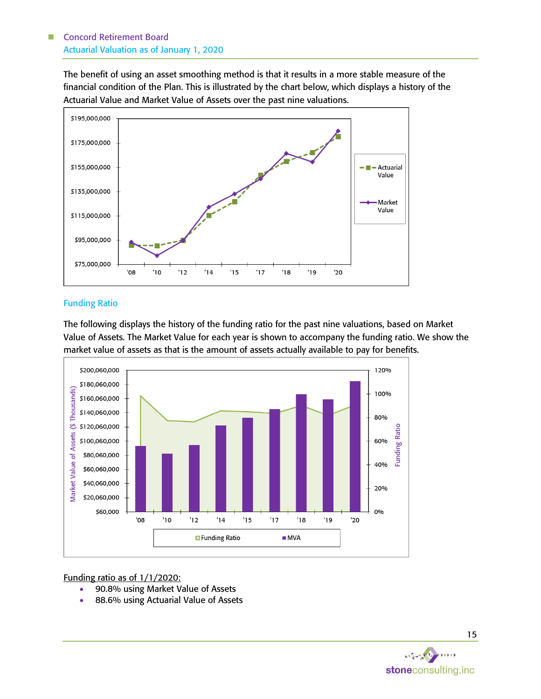The benefit of using an asset smoothing method is that it results in a more stable measure of the financial condition of the Plan. This is illustrated by the chart below, which displays a history of the Actuarial Value and Market Value of Assets over the past nine valuations.



## Funding Ratio

The following displays the history of the funding ratio for the past nine valuations, based on Market Value of Assets. The Market Value for each year is shown to accompany the funding ratio. We show the market value of assets as that is the amount of assets actually available to pay for benefits.



Funding ratio as of 1/1/2020:

- 90.8% using Market Value of Assets
- 88.6% using Actuarial Value of Assets

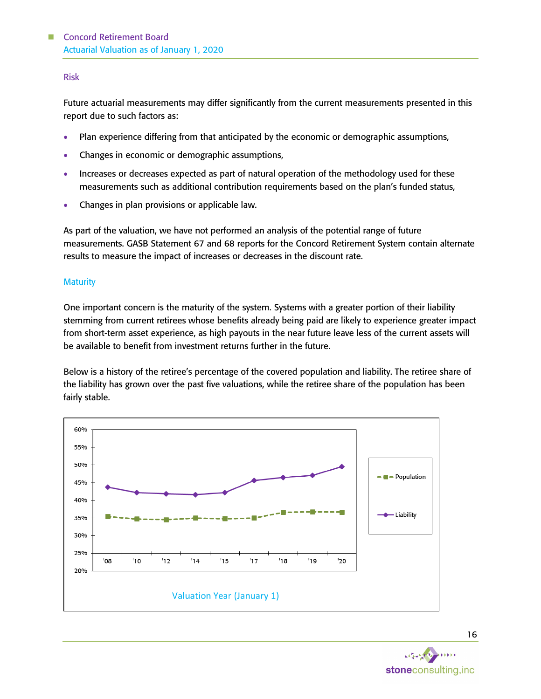#### Risk

Future actuarial measurements may differ significantly from the current measurements presented in this report due to such factors as:

- Plan experience differing from that anticipated by the economic or demographic assumptions,
- Changes in economic or demographic assumptions,
- Increases or decreases expected as part of natural operation of the methodology used for these measurements such as additional contribution requirements based on the plan's funded status,
- Changes in plan provisions or applicable law.

As part of the valuation, we have not performed an analysis of the potential range of future measurements. GASB Statement 67 and 68 reports for the Concord Retirement System contain alternate results to measure the impact of increases or decreases in the discount rate.

#### **Maturity**

One important concern is the maturity of the system. Systems with a greater portion of their liability stemming from current retirees whose benefits already being paid are likely to experience greater impact from short-term asset experience, as high payouts in the near future leave less of the current assets will be available to benefit from investment returns further in the future.

Below is a history of the retiree's percentage of the covered population and liability. The retiree share of the liability has grown over the past five valuations, while the retiree share of the population has been fairly stable.



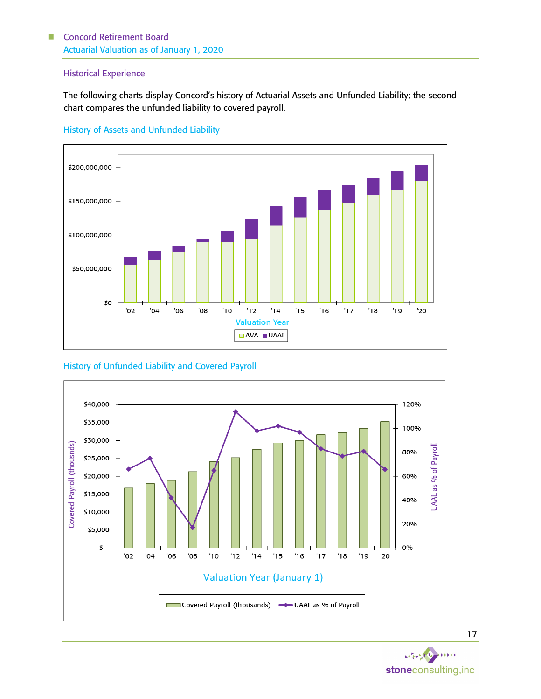#### Historical Experience

The following charts display Concord's history of Actuarial Assets and Unfunded Liability; the second chart compares the unfunded liability to covered payroll.

#### History of Assets and Unfunded Liability



## History of Unfunded Liability and Covered Payroll



 $\cdots$  $64.5 - 1$ stoneconsulting, inc

17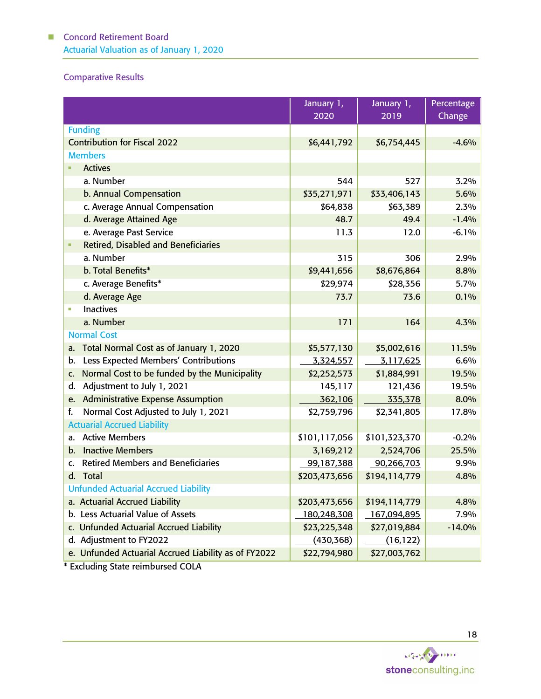## Comparative Results

|                                                            | January 1,    | January 1,    | Percentage |
|------------------------------------------------------------|---------------|---------------|------------|
|                                                            | 2020          | 2019          | Change     |
| <b>Funding</b>                                             |               |               |            |
| <b>Contribution for Fiscal 2022</b>                        | \$6,441,792   | \$6,754,445   | $-4.6%$    |
| <b>Members</b>                                             |               |               |            |
| <b>Actives</b>                                             |               |               |            |
| a. Number                                                  | 544           | 527           | 3.2%       |
| b. Annual Compensation                                     | \$35,271,971  | \$33,406,143  | 5.6%       |
| c. Average Annual Compensation                             | \$64,838      | \$63,389      | 2.3%       |
| d. Average Attained Age                                    | 48.7          | 49.4          | $-1.4%$    |
| e. Average Past Service                                    | 11.3          | 12.0          | $-6.1%$    |
| <b>Retired, Disabled and Beneficiaries</b>                 |               |               |            |
| a. Number                                                  | 315           | 306           | 2.9%       |
| b. Total Benefits*                                         | \$9,441,656   | \$8,676,864   | 8.8%       |
| c. Average Benefits*                                       | \$29,974      | \$28,356      | 5.7%       |
| d. Average Age                                             | 73.7          | 73.6          | 0.1%       |
| <b>Inactives</b>                                           |               |               |            |
| a. Number                                                  | 171           | 164           | 4.3%       |
| <b>Normal Cost</b>                                         |               |               |            |
| Total Normal Cost as of January 1, 2020<br>а.              | \$5,577,130   | \$5,002,616   | 11.5%      |
| Less Expected Members' Contributions<br>b.                 | 3,324,557     | 3,117,625     | 6.6%       |
| Normal Cost to be funded by the Municipality<br>$C_{1}$    | \$2,252,573   | \$1,884,991   | 19.5%      |
| Adjustment to July 1, 2021<br>d.                           | 145,117       | 121,436       | 19.5%      |
| <b>Administrative Expense Assumption</b><br>e.             | 362,106       | 335,378       | 8.0%       |
| Normal Cost Adjusted to July 1, 2021<br>f.                 | \$2,759,796   | \$2,341,805   | 17.8%      |
| <b>Actuarial Accrued Liability</b>                         |               |               |            |
| a. Active Members                                          | \$101,117,056 | \$101,323,370 | $-0.2%$    |
| <b>Inactive Members</b><br>b.                              | 3,169,212     | 2,524,706     | 25.5%      |
| <b>Retired Members and Beneficiaries</b><br>$\mathsf{C}$ . | 99,187,388    | 90,266,703    | 9.9%       |
| d. Total                                                   | \$203,473,656 | \$194,114,779 | 4.8%       |
| <b>Unfunded Actuarial Accrued Liability</b>                |               |               |            |
| a. Actuarial Accrued Liability                             | \$203,473,656 | \$194,114,779 | 4.8%       |
| b. Less Actuarial Value of Assets                          | 180,248,308   | 167,094,895   | 7.9%       |
| c. Unfunded Actuarial Accrued Liability                    | \$23,225,348  | \$27,019,884  | $-14.0%$   |
| d. Adjustment to FY2022                                    | (430, 368)    | (16, 122)     |            |
| e. Unfunded Actuarial Accrued Liability as of FY2022       | \$22,794,980  | \$27,003,762  |            |

\* Excluding State reimbursed COLA

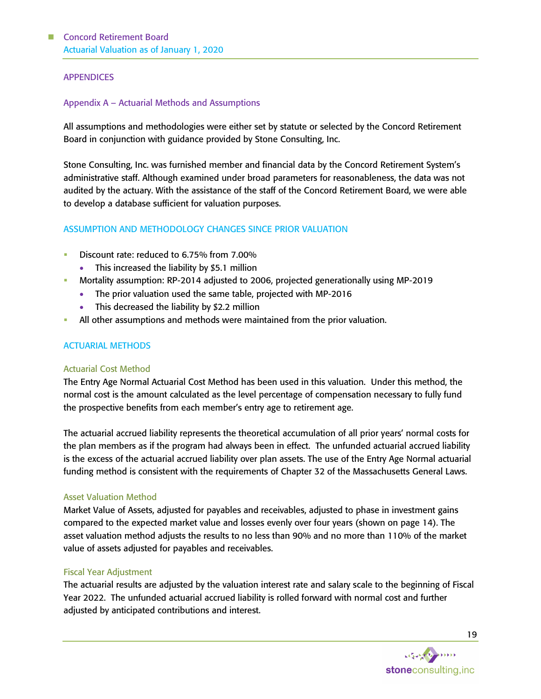#### APPENDICES

#### Appendix A – Actuarial Methods and Assumptions

All assumptions and methodologies were either set by statute or selected by the Concord Retirement Board in conjunction with guidance provided by Stone Consulting, Inc.

Stone Consulting, Inc. was furnished member and financial data by the Concord Retirement System's administrative staff. Although examined under broad parameters for reasonableness, the data was not audited by the actuary. With the assistance of the staff of the Concord Retirement Board, we were able to develop a database sufficient for valuation purposes.

### ASSUMPTION AND METHODOLOGY CHANGES SINCE PRIOR VALUATION

- Discount rate: reduced to 6.75% from 7.00%
	- This increased the liability by \$5.1 million
- Mortality assumption: RP-2014 adjusted to 2006, projected generationally using MP-2019
	- The prior valuation used the same table, projected with MP-2016
	- This decreased the liability by \$2.2 million
- All other assumptions and methods were maintained from the prior valuation.

#### ACTUARIAL METHODS

#### Actuarial Cost Method

The Entry Age Normal Actuarial Cost Method has been used in this valuation. Under this method, the normal cost is the amount calculated as the level percentage of compensation necessary to fully fund the prospective benefits from each member's entry age to retirement age.

The actuarial accrued liability represents the theoretical accumulation of all prior years' normal costs for the plan members as if the program had always been in effect. The unfunded actuarial accrued liability is the excess of the actuarial accrued liability over plan assets. The use of the Entry Age Normal actuarial funding method is consistent with the requirements of Chapter 32 of the Massachusetts General Laws.

#### Asset Valuation Method

Market Value of Assets, adjusted for payables and receivables, adjusted to phase in investment gains compared to the expected market value and losses evenly over four years (shown on page 14). The asset valuation method adjusts the results to no less than 90% and no more than 110% of the market value of assets adjusted for payables and receivables.

#### Fiscal Year Adjustment

The actuarial results are adjusted by the valuation interest rate and salary scale to the beginning of Fiscal Year 2022. The unfunded actuarial accrued liability is rolled forward with normal cost and further adjusted by anticipated contributions and interest.

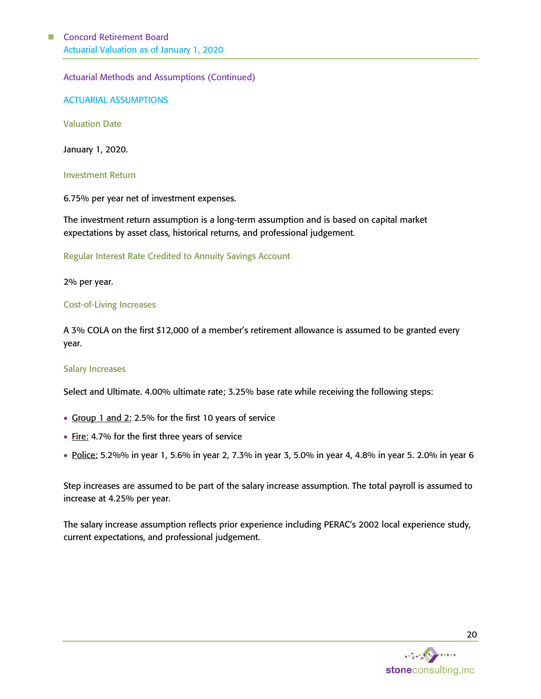Actuarial Methods and Assumptions (Continued)

ACTUARIAL ASSUMPTIONS

Valuation Date

January 1, 2020.

#### Investment Return

6.75% per year net of investment expenses.

The investment return assumption is a long-term assumption and is based on capital market expectations by asset class, historical returns, and professional judgement.

Regular Interest Rate Credited to Annuity Savings Account

2% per year.

#### Cost-of-Living Increases

A 3% COLA on the first \$12,000 of a member's retirement allowance is assumed to be granted every year.

#### Salary Increases

Select and Ultimate. 4.00% ultimate rate; 3.25% base rate while receiving the following steps:

- Group 1 and 2: 2.5% for the first 10 years of service
- Fire: 4.7% for the first three years of service
- Police: 5.2%% in year 1, 5.6% in year 2, 7.3% in year 3, 5.0% in year 4, 4.8% in year 5. 2.0% in year 6

Step increases are assumed to be part of the salary increase assumption. The total payroll is assumed to increase at 4.25% per year.

The salary increase assumption reflects prior experience including PERAC's 2002 local experience study, current expectations, and professional judgement.

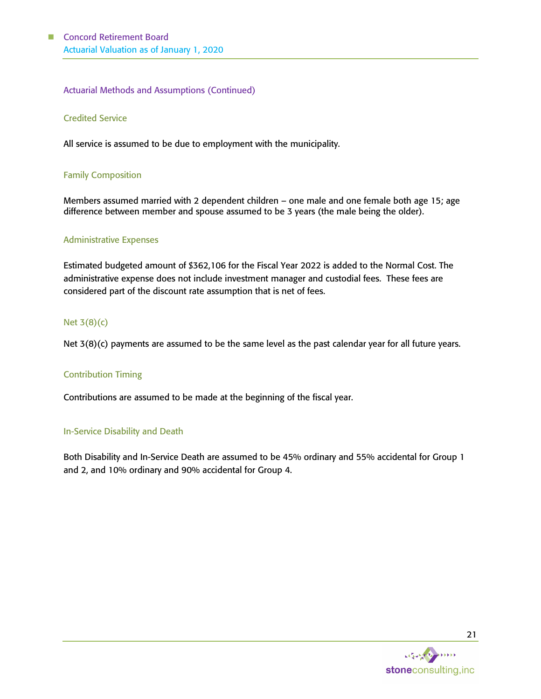### Actuarial Methods and Assumptions (Continued)

#### Credited Service

All service is assumed to be due to employment with the municipality.

#### Family Composition

Members assumed married with 2 dependent children – one male and one female both age 15; age difference between member and spouse assumed to be 3 years (the male being the older).

#### Administrative Expenses

Estimated budgeted amount of \$362,106 for the Fiscal Year 2022 is added to the Normal Cost. The administrative expense does not include investment manager and custodial fees. These fees are considered part of the discount rate assumption that is net of fees.

#### Net 3(8)(c)

Net 3(8)(c) payments are assumed to be the same level as the past calendar year for all future years.

#### Contribution Timing

Contributions are assumed to be made at the beginning of the fiscal year.

#### In-Service Disability and Death

Both Disability and In-Service Death are assumed to be 45% ordinary and 55% accidental for Group 1 and 2, and 10% ordinary and 90% accidental for Group 4.

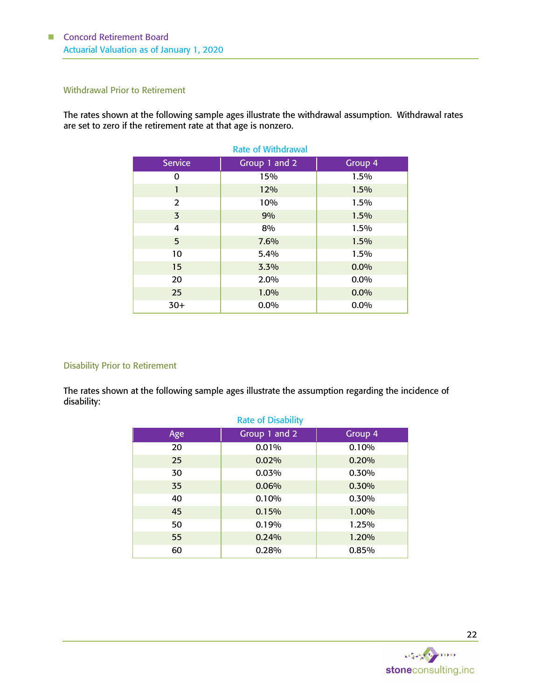#### Withdrawal Prior to Retirement

The rates shown at the following sample ages illustrate the withdrawal assumption. Withdrawal rates are set to zero if the retirement rate at that age is nonzero.

| <b>Rate of Withdrawal</b> |               |         |  |  |  |
|---------------------------|---------------|---------|--|--|--|
| <b>Service</b>            | Group 1 and 2 | Group 4 |  |  |  |
| 0                         | 15%           | 1.5%    |  |  |  |
| 1                         | 12%           | 1.5%    |  |  |  |
| 2                         | 10%           | 1.5%    |  |  |  |
| 3                         | 9%            | 1.5%    |  |  |  |
| 4                         | 8%            | 1.5%    |  |  |  |
| 5                         | 7.6%          | 1.5%    |  |  |  |
| 10                        | 5.4%          | 1.5%    |  |  |  |
| 15                        | 3.3%          | 0.0%    |  |  |  |
| 20                        | 2.0%          | 0.0%    |  |  |  |
| 25                        | 1.0%          | 0.0%    |  |  |  |
| $30+$                     | $0.0\%$       | 0.0%    |  |  |  |

#### Disability Prior to Retirement

The rates shown at the following sample ages illustrate the assumption regarding the incidence of disability:

| Age | Group 1 and 2 | Group 4 |
|-----|---------------|---------|
| 20  | 0.01%         | 0.10%   |
| 25  | 0.02%         | 0.20%   |
| 30  | 0.03%         | 0.30%   |
| 35  | 0.06%         | 0.30%   |
| 40  | 0.10%         | 0.30%   |
| 45  | 0.15%         | 1.00%   |
| 50  | 0.19%         | 1.25%   |
| 55  | 0.24%         | 1.20%   |
| 60  | 0.28%         | 0.85%   |

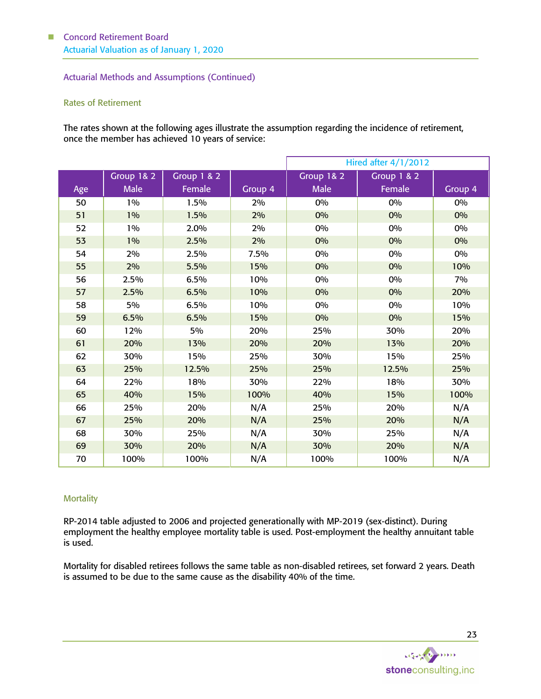#### Actuarial Methods and Assumptions (Continued)

#### Rates of Retirement

The rates shown at the following ages illustrate the assumption regarding the incidence of retirement, once the member has achieved 10 years of service:

|     |                       |             |         | <b>Hired after 4/1/2012</b> |                        |         |
|-----|-----------------------|-------------|---------|-----------------------------|------------------------|---------|
|     | <b>Group 1&amp; 2</b> | Group 1 & 2 |         | Group 1& 2                  | <b>Group 1 &amp; 2</b> |         |
| Age | <b>Male</b>           | Female      | Group 4 | <b>Male</b>                 | Female                 | Group 4 |
| 50  | 1%                    | 1.5%        | 2%      | 0%                          | 0%                     | 0%      |
| 51  | 1%                    | 1.5%        | 2%      | 0%                          | 0%                     | 0%      |
| 52  | 1%                    | 2.0%        | 2%      | 0%                          | 0%                     | 0%      |
| 53  | $1\%$                 | 2.5%        | 2%      | 0%                          | 0%                     | 0%      |
| 54  | 2%                    | 2.5%        | 7.5%    | 0%                          | 0%                     | 0%      |
| 55  | 2%                    | 5.5%        | 15%     | 0%                          | 0%                     | 10%     |
| 56  | 2.5%                  | 6.5%        | 10%     | 0%                          | 0%                     | 7%      |
| 57  | 2.5%                  | 6.5%        | 10%     | 0%                          | 0%                     | 20%     |
| 58  | 5%                    | 6.5%        | 10%     | 0%                          | 0%                     | 10%     |
| 59  | 6.5%                  | 6.5%        | 15%     | 0%                          | 0%                     | 15%     |
| 60  | 12%                   | 5%          | 20%     | 25%                         | 30%                    | 20%     |
| 61  | 20%                   | 13%         | 20%     | 20%                         | 13%                    | 20%     |
| 62  | 30%                   | 15%         | 25%     | 30%                         | 15%                    | 25%     |
| 63  | 25%                   | 12.5%       | 25%     | 25%                         | 12.5%                  | 25%     |
| 64  | 22%                   | 18%         | 30%     | 22%                         | 18%                    | 30%     |
| 65  | 40%                   | 15%         | 100%    | 40%                         | 15%                    | 100%    |
| 66  | 25%                   | 20%         | N/A     | 25%                         | 20%                    | N/A     |
| 67  | 25%                   | 20%         | N/A     | 25%                         | 20%                    | N/A     |
| 68  | 30%                   | 25%         | N/A     | 30%                         | 25%                    | N/A     |
| 69  | 30%                   | 20%         | N/A     | 30%                         | 20%                    | N/A     |
| 70  | 100%                  | 100%        | N/A     | 100%                        | 100%                   | N/A     |

#### **Mortality**

RP-2014 table adjusted to 2006 and projected generationally with MP-2019 (sex-distinct). During employment the healthy employee mortality table is used. Post-employment the healthy annuitant table is used.

Mortality for disabled retirees follows the same table as non-disabled retirees, set forward 2 years. Death is assumed to be due to the same cause as the disability 40% of the time.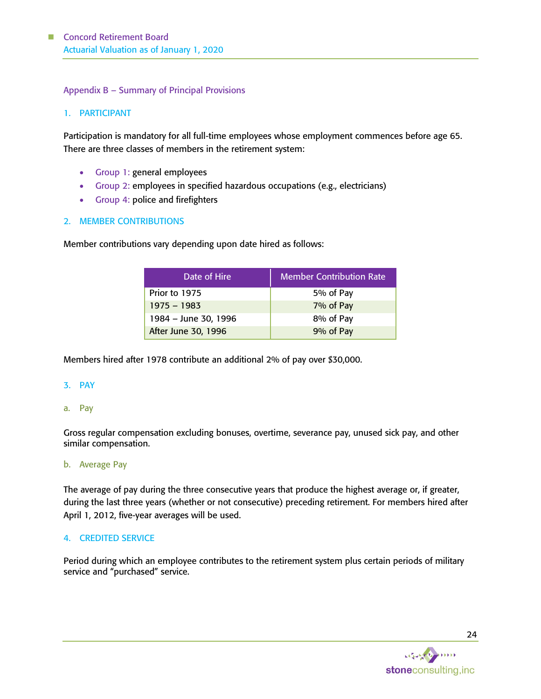#### Appendix B – Summary of Principal Provisions

#### 1. PARTICIPANT

Participation is mandatory for all full-time employees whose employment commences before age 65. There are three classes of members in the retirement system:

- Group 1: general employees
- Group 2: employees in specified hazardous occupations (e.g., electricians)
- Group 4: police and firefighters

#### 2. MEMBER CONTRIBUTIONS

Member contributions vary depending upon date hired as follows:

| Date of Hire         | <b>Member Contribution Rate</b> |
|----------------------|---------------------------------|
| Prior to 1975        | 5% of Pay                       |
| $1975 - 1983$        | 7% of Pay                       |
| 1984 - June 30, 1996 | 8% of Pay                       |
| After June 30, 1996  | 9% of Pay                       |

Members hired after 1978 contribute an additional 2% of pay over \$30,000.

#### 3. PAY

a. Pay

Gross regular compensation excluding bonuses, overtime, severance pay, unused sick pay, and other similar compensation.

#### b. Average Pay

The average of pay during the three consecutive years that produce the highest average or, if greater, during the last three years (whether or not consecutive) preceding retirement. For members hired after April 1, 2012, five-year averages will be used.

#### 4. CREDITED SERVICE

Period during which an employee contributes to the retirement system plus certain periods of military service and "purchased" service.

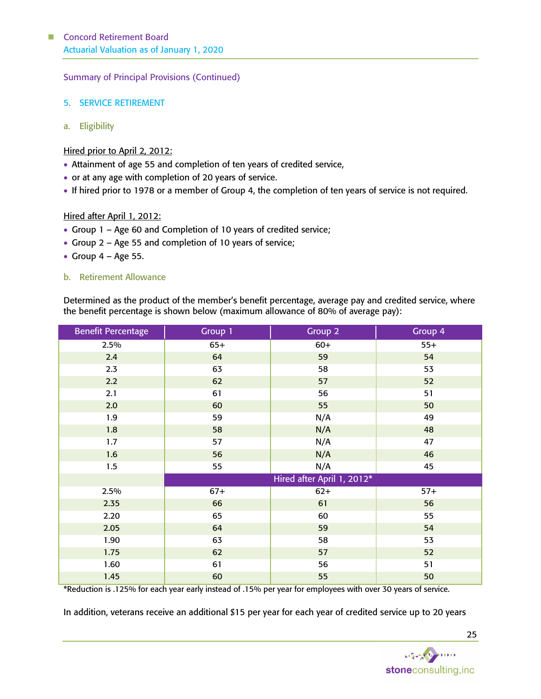Summary of Principal Provisions (Continued)

- 5. SERVICE RETIREMENT
- a. Eligibility

## Hired prior to April 2, 2012:

- Attainment of age 55 and completion of ten years of credited service,
- or at any age with completion of 20 years of service.
- If hired prior to 1978 or a member of Group 4, the completion of ten years of service is not required.

#### Hired after April 1, 2012:

- Group 1 Age 60 and Completion of 10 years of credited service;
- Group 2 Age 55 and completion of 10 years of service;
- Group  $4 Age 55$ .

#### b. Retirement Allowance

Determined as the product of the member's benefit percentage, average pay and credited service, where the benefit percentage is shown below (maximum allowance of 80% of average pay):

| <b>Benefit Percentage</b> | Group 1 | Group 2                    | Group 4 |
|---------------------------|---------|----------------------------|---------|
| 2.5%                      | $65+$   | $60+$                      | $55+$   |
| 2.4                       | 64      | 59                         | 54      |
| 2.3                       | 63      | 58                         | 53      |
| 2.2                       | 62      | 57                         | 52      |
| 2.1                       | 61      | 56                         | 51      |
| 2.0                       | 60      | 55                         | 50      |
| 1.9                       | 59      | N/A                        | 49      |
| 1.8                       | 58      | N/A                        | 48      |
| 1.7                       | 57      | N/A                        | 47      |
| 1.6                       | 56      | N/A                        | 46      |
| 1.5                       | 55      | N/A                        | 45      |
|                           |         | Hired after April 1, 2012* |         |
| 2.5%                      | $67+$   | $62+$                      | $57+$   |
| 2.35                      | 66      | 61                         | 56      |
| 2.20                      | 65      | 60                         | 55      |
| 2.05                      | 64      | 59                         | 54      |
| 1.90                      | 63      | 58                         | 53      |
| 1.75                      | 62      | 57                         | 52      |
| 1.60                      | 61      | 56                         | 51      |
| 1.45                      | 60      | 55                         | 50      |

\*Reduction is .125% for each year early instead of .15% per year for employees with over 30 years of service.

In addition, veterans receive an additional \$15 per year for each year of credited service up to 20 years



25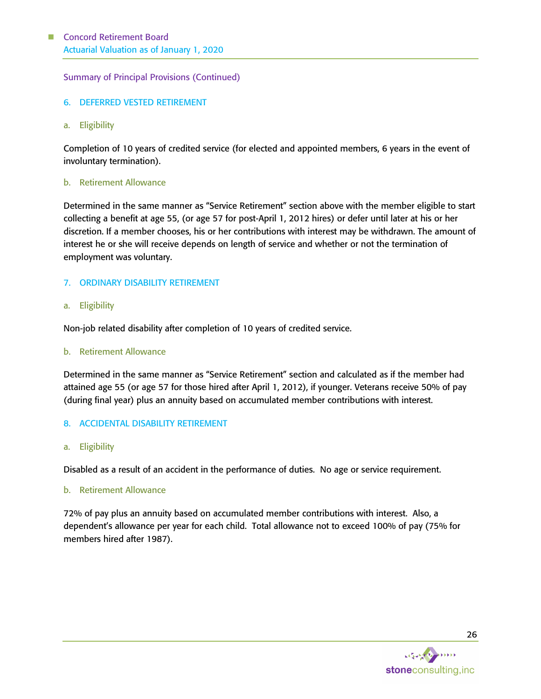Summary of Principal Provisions (Continued)

- 6. DEFERRED VESTED RETIREMENT
- a. Eligibility

Completion of 10 years of credited service (for elected and appointed members, 6 years in the event of involuntary termination).

### b. Retirement Allowance

Determined in the same manner as "Service Retirement" section above with the member eligible to start collecting a benefit at age 55, (or age 57 for post-April 1, 2012 hires) or defer until later at his or her discretion. If a member chooses, his or her contributions with interest may be withdrawn. The amount of interest he or she will receive depends on length of service and whether or not the termination of employment was voluntary.

#### 7. ORDINARY DISABILITY RETIREMENT

#### a. Eligibility

Non-job related disability after completion of 10 years of credited service.

#### b. Retirement Allowance

Determined in the same manner as "Service Retirement" section and calculated as if the member had attained age 55 (or age 57 for those hired after April 1, 2012), if younger. Veterans receive 50% of pay (during final year) plus an annuity based on accumulated member contributions with interest.

8. ACCIDENTAL DISABILITY RETIREMENT

#### a. Eligibility

Disabled as a result of an accident in the performance of duties. No age or service requirement.

#### b. Retirement Allowance

72% of pay plus an annuity based on accumulated member contributions with interest. Also, a dependent's allowance per year for each child. Total allowance not to exceed 100% of pay (75% for members hired after 1987).

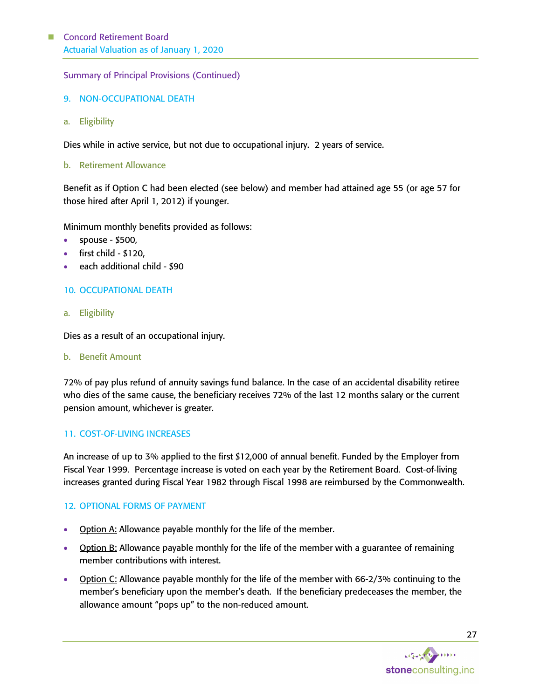Summary of Principal Provisions (Continued)

- 9. NON-OCCUPATIONAL DEATH
- a. Eligibility

Dies while in active service, but not due to occupational injury. 2 years of service.

b. Retirement Allowance

Benefit as if Option C had been elected (see below) and member had attained age 55 (or age 57 for those hired after April 1, 2012) if younger.

Minimum monthly benefits provided as follows:

- spouse \$500,
- first child \$120,
- each additional child \$90

#### 10. OCCUPATIONAL DEATH

a. Eligibility

Dies as a result of an occupational injury.

b. Benefit Amount

72% of pay plus refund of annuity savings fund balance. In the case of an accidental disability retiree who dies of the same cause, the beneficiary receives 72% of the last 12 months salary or the current pension amount, whichever is greater.

#### 11. COST-OF-LIVING INCREASES

An increase of up to 3% applied to the first \$12,000 of annual benefit. Funded by the Employer from Fiscal Year 1999. Percentage increase is voted on each year by the Retirement Board. Cost-of-living increases granted during Fiscal Year 1982 through Fiscal 1998 are reimbursed by the Commonwealth.

#### 12. OPTIONAL FORMS OF PAYMENT

- **Option A:** Allowance payable monthly for the life of the member.
- **Option B:** Allowance payable monthly for the life of the member with a guarantee of remaining member contributions with interest.
- Option C: Allowance payable monthly for the life of the member with 66-2/3% continuing to the member's beneficiary upon the member's death. If the beneficiary predeceases the member, the allowance amount "pops up" to the non-reduced amount.

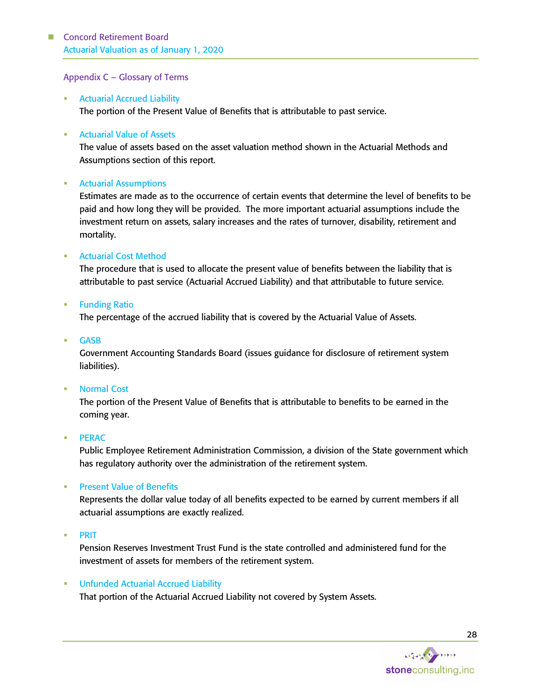#### Appendix C – Glossary of Terms

**Actuarial Accrued Liability** The portion of the Present Value of Benefits that is attributable to past service.

#### ■ Actuarial Value of Assets

The value of assets based on the asset valuation method shown in the Actuarial Methods and Assumptions section of this report.

#### **EXECUTE:** Actuarial Assumptions

Estimates are made as to the occurrence of certain events that determine the level of benefits to be paid and how long they will be provided. The more important actuarial assumptions include the investment return on assets, salary increases and the rates of turnover, disability, retirement and mortality.

#### **EXECUTE: Actuarial Cost Method**

The procedure that is used to allocate the present value of benefits between the liability that is attributable to past service (Actuarial Accrued Liability) and that attributable to future service.

**Example 1** Funding Ratio

The percentage of the accrued liability that is covered by the Actuarial Value of Assets.

**GASB** 

Government Accounting Standards Board (issues guidance for disclosure of retirement system liabilities).

#### **Normal Cost**

The portion of the Present Value of Benefits that is attributable to benefits to be earned in the coming year.

#### ▪ PERAC

Public Employee Retirement Administration Commission, a division of the State government which has regulatory authority over the administration of the retirement system.

#### **Present Value of Benefits**

Represents the dollar value today of all benefits expected to be earned by current members if all actuarial assumptions are exactly realized.

▪ PRIT

Pension Reserves Investment Trust Fund is the state controlled and administered fund for the investment of assets for members of the retirement system.

#### **■ Unfunded Actuarial Accrued Liability**

That portion of the Actuarial Accrued Liability not covered by System Assets.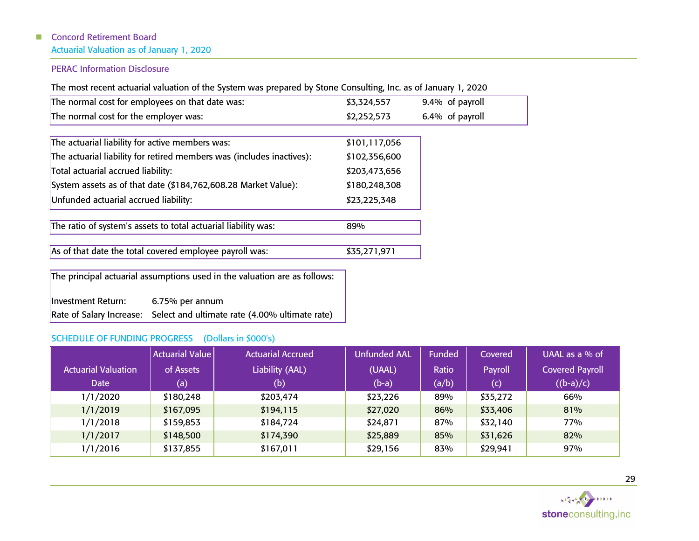## ■ Concord Retirement Board

Actuarial Valuation as of January 1, 2020

## PERAC Information Disclosure

The most recent actuarial valuation of the System was prepared by Stone Consulting, Inc. as of January 1, 2020

| The normal cost for employees on that date was:                       | \$3,324,557   | 9.4% of payroll |
|-----------------------------------------------------------------------|---------------|-----------------|
| The normal cost for the employer was:                                 | \$2,252,573   | 6.4% of payroll |
|                                                                       |               |                 |
| The actuarial liability for active members was:                       | \$101,117,056 |                 |
| The actuarial liability for retired members was (includes inactives): | \$102,356,600 |                 |
| Total actuarial accrued liability:                                    | \$203,473,656 |                 |
| System assets as of that date (\$184,762,608.28 Market Value):        | \$180,248,308 |                 |
| Unfunded actuarial accrued liability:                                 | \$23,225,348  |                 |
|                                                                       |               |                 |
| The ratio of system's assets to total actuarial liability was:        | 89%           |                 |

As of that date the total covered employee payroll was: \$35,271,971

The principal actuarial assumptions used in the valuation are as follows:

Investment Return: 6.75% per annum Rate of Salary Increase: Select and ultimate rate (4.00% ultimate rate)

## SCHEDULE OF FUNDING PROGRESS (Dollars in \$000's)

|                            | <b>Actuarial Value</b> | <b>Actuarial Accrued</b> | <b>Unfunded AAL</b> | Funded | Covered  | UAAL as a $%$ of       |
|----------------------------|------------------------|--------------------------|---------------------|--------|----------|------------------------|
| <b>Actuarial Valuation</b> | of Assets              | Liability (AAL)          | (UAAL)              | Ratio  | Payroll  | <b>Covered Payroll</b> |
| <b>Date</b>                | (a)                    | (b)                      | $(b-a)$             | (a/b)  | (c)      | $((b-a)/c)$            |
| 1/1/2020                   | \$180,248              | \$203,474                | \$23,226            | 89%    | \$35,272 | 66%                    |
| 1/1/2019                   | \$167,095              | \$194,115                | \$27,020            | 86%    | \$33,406 | 81%                    |
| 1/1/2018                   | \$159,853              | \$184,724                | \$24,871            | 87%    | \$32,140 | 77%                    |
| 1/1/2017                   | \$148,500              | \$174,390                | \$25,889            | 85%    | \$31,626 | 82%                    |
| 1/1/2016                   | \$137,855              | \$167,011                | \$29,156            | 83%    | \$29,941 | 97%                    |

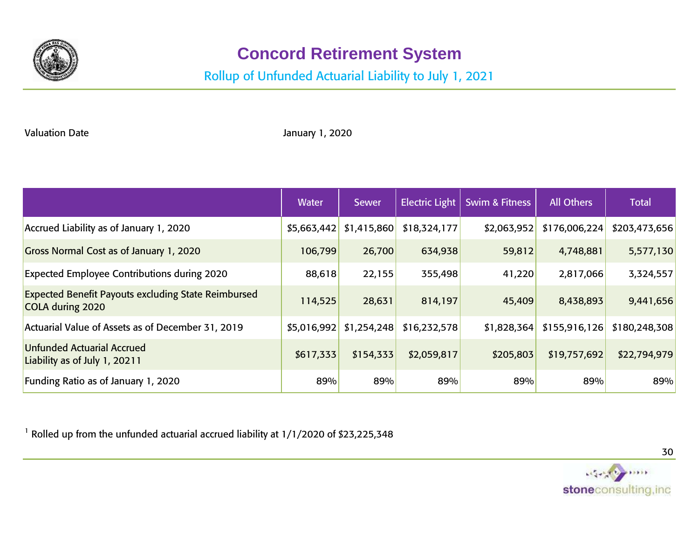

# **Concord Retirement System**

# Rollup of Unfunded Actuarial Liability to July 1, 2021

Valuation Date

January 1, 2020

|                                                                                | Water       | <b>Sewer</b> | <b>Electric Light</b> | <b>Swim &amp; Fitness</b> | All Others    | <b>Total</b>  |
|--------------------------------------------------------------------------------|-------------|--------------|-----------------------|---------------------------|---------------|---------------|
| Accrued Liability as of January 1, 2020                                        | \$5,663,442 | \$1,415,860  | \$18,324,177          | \$2,063,952               | \$176,006,224 | \$203,473,656 |
| Gross Normal Cost as of January 1, 2020                                        | 106,799     | 26,700       | 634,938               | 59,812                    | 4,748,881     | 5,577,130     |
| <b>Expected Employee Contributions during 2020</b>                             | 88,618      | 22,155       | 355,498               | 41,220                    | 2,817,066     | 3,324,557     |
| <b>Expected Benefit Payouts excluding State Reimbursed</b><br>COLA during 2020 | 114,525     | 28,631       | 814,197               | 45,409                    | 8,438,893     | 9,441,656     |
| Actuarial Value of Assets as of December 31, 2019                              | \$5,016,992 | \$1,254,248  | \$16,232,578          | \$1,828,364               | \$155,916,126 | \$180,248,308 |
| <b>Unfunded Actuarial Accrued</b><br>Liability as of July 1, 20211             | \$617,333   | \$154,333    | \$2,059,817           | \$205,803                 | \$19,757,692  | \$22,794,979  |
| Funding Ratio as of January 1, 2020                                            | 89%         | 89%          | 89%                   | 89%                       | 89%           | 89%           |

<sup>1</sup> Rolled up from the unfunded actuarial accrued liability at 1/1/2020 of \$23,225,348



30